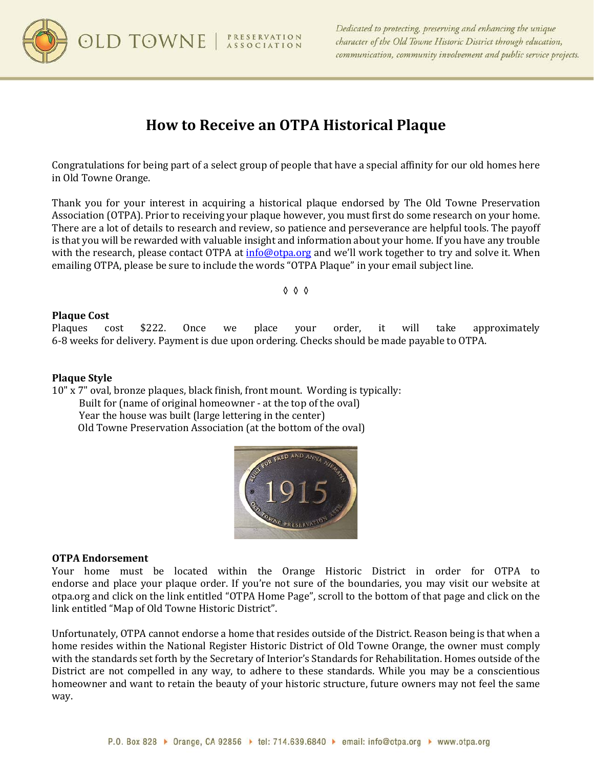

# **How to Receive an OTPA Historical Plaque**

Congratulations for being part of a select group of people that have a special affinity for our old homes here in Old Towne Orange.

Thank you for your interest in acquiring a historical plaque endorsed by The Old Towne Preservation Association (OTPA). Prior to receiving your plaque however, you must first do some research on your home. There are a lot of details to research and review, so patience and perseverance are helpful tools. The payoff is that you will be rewarded with valuable insight and information about your home. If you have any trouble with the research, please contact OTPA at [info@otpa.org](mailto:info@otpa.org) and we'll work together to try and solve it. When emailing OTPA, please be sure to include the words "OTPA Plaque" in your email subject line.

◊ ◊ ◊

## **Plaque Cost**

Plaques cost \$222. Once we place your order, it will take approximately 6-8 weeks for delivery. Payment is due upon ordering. Checks should be made payable to OTPA.

## **Plaque Style**

10" x 7" oval, bronze plaques, black finish, front mount. Wording is typically: Built for (name of original homeowner - at the top of the oval) Year the house was built (large lettering in the center) Old Towne Preservation Association (at the bottom of the oval)



#### **OTPA Endorsement**

Your home must be located within the Orange Historic District in order for OTPA to endorse and place your plaque order. If you're not sure of the boundaries, you may visit our website at otpa.org and click on the link entitled "OTPA Home Page", scroll to the bottom of that page and click on the link entitled "Map of Old Towne Historic District".

Unfortunately, OTPA cannot endorse a home that resides outside of the District. Reason being is that when a home resides within the National Register Historic District of Old Towne Orange, the owner must comply with the standards set forth by the Secretary of Interior's Standards for Rehabilitation. Homes outside of the District are not compelled in any way, to adhere to these standards. While you may be a conscientious homeowner and want to retain the beauty of your historic structure, future owners may not feel the same way.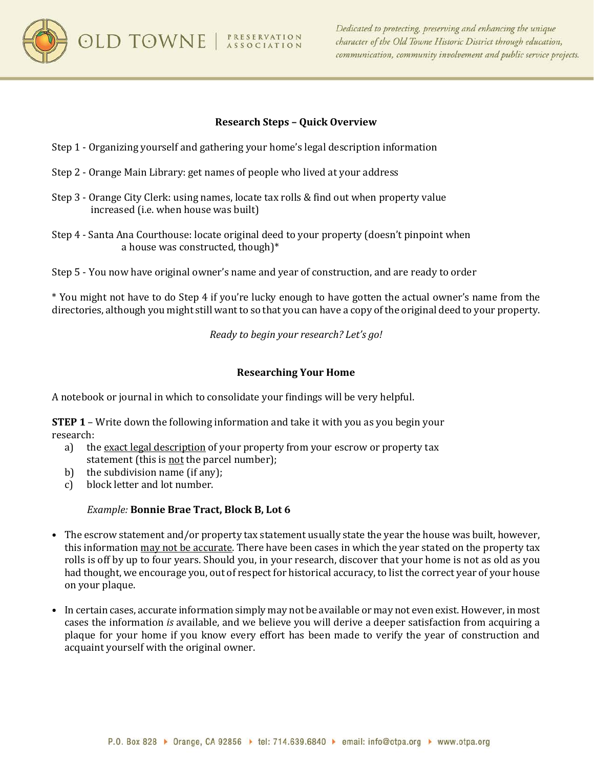**OLD TOWNE** | *PRESERVATION* 



# **Research Steps – Quick Overview**

- Step 1 Organizing yourself and gathering your home's legal description information
- Step 2 Orange Main Library: get names of people who lived at your address
- Step 3 Orange City Clerk: using names, locate tax rolls & find out when property value increased (i.e. when house was built)
- Step 4 Santa Ana Courthouse: locate original deed to your property (doesn't pinpoint when a house was constructed, though)\*
- Step 5 You now have original owner's name and year of construction, and are ready to order

\* You might not have to do Step 4 if you're lucky enough to have gotten the actual owner's name from the directories, although you might still want to so that you can have a copy of the original deed to your property.

*Ready to begin your research? Let's go!*

# **Researching Your Home**

A notebook or journal in which to consolidate your findings will be very helpful.

**STEP 1** – Write down the following information and take it with you as you begin your research:<br>a) th

- the exact legal description of your property from your escrow or property tax statement (this is not the parcel number);
- b) the subdivision name (if any);<br>c) block letter and lot number.
- block letter and lot number.

# *Example:* **Bonnie Brae Tract, Block B, Lot 6**

- The escrow statement and/or property tax statement usually state the year the house was built, however, this information may not be accurate. There have been cases in which the year stated on the property tax rolls is off by up to four years. Should you, in your research, discover that your home is not as old as you had thought, we encourage you, out of respect for historical accuracy, to list the correct year of your house on your plaque.
- In certain cases, accurate information simply may not be available or may not even exist. However, in most cases the information *is* available, and we believe you will derive a deeper satisfaction from acquiring a plaque for your home if you know every effort has been made to verify the year of construction and acquaint yourself with the original owner.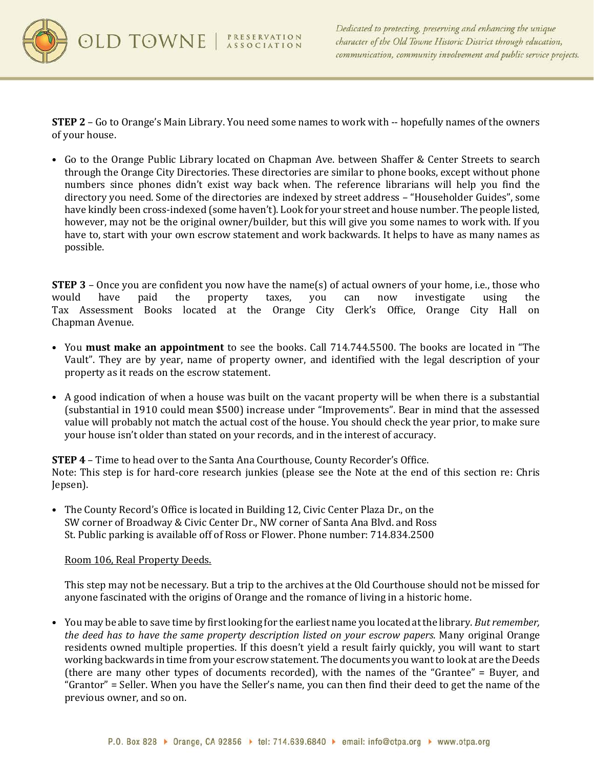

**STEP 2** – Go to Orange's Main Library. You need some names to work with -- hopefully names of the owners of your house.

• Go to the Orange Public Library located on Chapman Ave. between Shaffer & Center Streets to search through the Orange City Directories. These directories are similar to phone books, except without phone numbers since phones didn't exist way back when. The reference librarians will help you find the directory you need. Some of the directories are indexed by street address – "Householder Guides", some have kindly been cross-indexed (some haven't). Look for your street and house number. The people listed, however, may not be the original owner/builder, but this will give you some names to work with. If you have to, start with your own escrow statement and work backwards. It helps to have as many names as possible.

**STEP 3** – Once you are confident you now have the name(s) of actual owners of your home, i.e., those who would have paid the property taxes, you can now investigate using the would have paid the property taxes, you can now investigate using the Tax Assessment Books located at the Orange City Clerk's Office, Orange City Hall on Chapman Avenue.

- You **must make an appointment** to see the books. Call 714.744.5500. The books are located in "The Vault". They are by year, name of property owner, and identified with the legal description of your property as it reads on the escrow statement.
- A good indication of when a house was built on the vacant property will be when there is a substantial (substantial in 1910 could mean \$500) increase under "Improvements". Bear in mind that the assessed value will probably not match the actual cost of the house. You should check the year prior, to make sure your house isn't older than stated on your records, and in the interest of accuracy.

**STEP 4** – Time to head over to the Santa Ana Courthouse, County Recorder's Office. Note: This step is for hard-core research junkies (please see the Note at the end of this section re: Chris Jepsen).

• The County Record's Office is located in Building 12, Civic Center Plaza Dr., on the SW corner of Broadway & Civic Center Dr., NW corner of Santa Ana Blvd. and Ross St. Public parking is available off of Ross or Flower. Phone number: 714.834.2500

# Room 106, Real Property Deeds.

This step may not be necessary. But a trip to the archives at the Old Courthouse should not be missed for anyone fascinated with the origins of Orange and the romance of living in a historic home.

• You may be able to save time by first looking for the earliest name you located at the library. *But remember, the deed has to have the same property description listed on your escrow papers*. Many original Orange residents owned multiple properties. If this doesn't yield a result fairly quickly, you will want to start working backwards in time from your escrow statement. The documents you want to look at are the Deeds (there are many other types of documents recorded), with the names of the "Grantee" = Buyer, and "Grantor" = Seller. When you have the Seller's name, you can then find their deed to get the name of the previous owner, and so on.